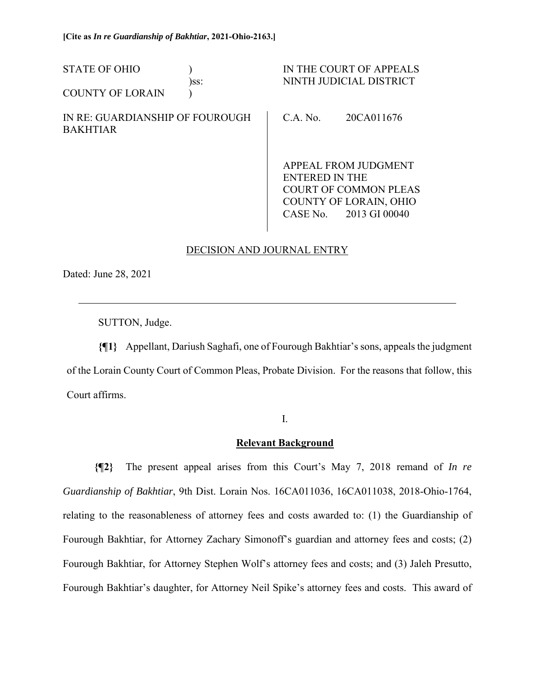| <b>STATE OF OHIO</b><br>)ss:<br><b>COUNTY OF LORAIN</b> | IN THE COURT OF APPEALS<br>NINTH JUDICIAL DISTRICT                                                                                          |
|---------------------------------------------------------|---------------------------------------------------------------------------------------------------------------------------------------------|
| IN RE: GUARDIANSHIP OF FOUROUGH<br><b>BAKHTIAR</b>      | C.A. No.<br>20CA011676                                                                                                                      |
|                                                         | <b>APPEAL FROM JUDGMENT</b><br>ENTERED IN THE<br><b>COURT OF COMMON PLEAS</b><br><b>COUNTY OF LORAIN, OHIO</b><br>2013 GI 00040<br>CASE No. |

## DECISION AND JOURNAL ENTRY

Dated: June 28, 2021

 $\overline{a}$ 

SUTTON, Judge.

**{¶1}** Appellant, Dariush Saghafi, one of Fourough Bakhtiar's sons, appeals the judgment of the Lorain County Court of Common Pleas, Probate Division. For the reasons that follow, this Court affirms.

I.

### **Relevant Background**

**{¶2}** The present appeal arises from this Court's May 7, 2018 remand of *In re Guardianship of Bakhtiar*, 9th Dist. Lorain Nos. 16CA011036, 16CA011038, 2018-Ohio-1764, relating to the reasonableness of attorney fees and costs awarded to: (1) the Guardianship of Fourough Bakhtiar, for Attorney Zachary Simonoff's guardian and attorney fees and costs; (2) Fourough Bakhtiar, for Attorney Stephen Wolf's attorney fees and costs; and (3) Jaleh Presutto, Fourough Bakhtiar's daughter, for Attorney Neil Spike's attorney fees and costs. This award of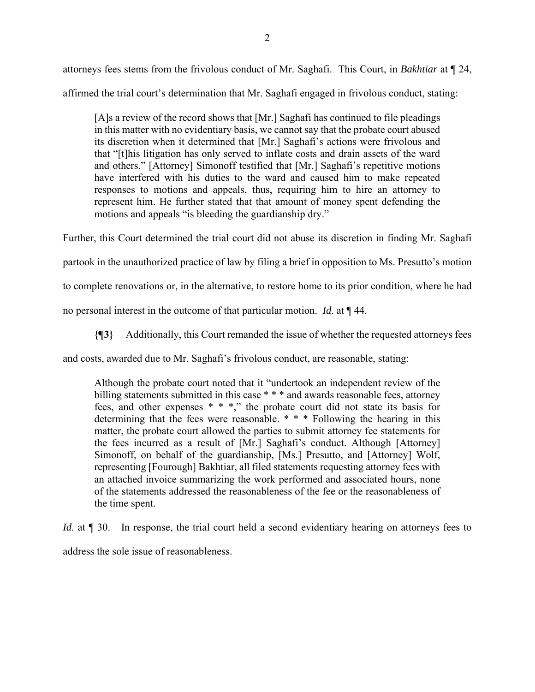attorneys fees stems from the frivolous conduct of Mr. Saghafi. This Court, in *Bakhtiar* at ¶ 24, affirmed the trial court's determination that Mr. Saghafi engaged in frivolous conduct, stating:

[A]s a review of the record shows that [Mr.] Saghafi has continued to file pleadings in this matter with no evidentiary basis, we cannot say that the probate court abused its discretion when it determined that [Mr.] Saghafi's actions were frivolous and that "[t]his litigation has only served to inflate costs and drain assets of the ward and others." [Attorney] Simonoff testified that [Mr.] Saghafi's repetitive motions have interfered with his duties to the ward and caused him to make repeated responses to motions and appeals, thus, requiring him to hire an attorney to represent him. He further stated that that amount of money spent defending the motions and appeals "is bleeding the guardianship dry."

Further, this Court determined the trial court did not abuse its discretion in finding Mr. Saghafi

partook in the unauthorized practice of law by filing a brief in opposition to Ms. Presutto's motion

to complete renovations or, in the alternative, to restore home to its prior condition, where he had

no personal interest in the outcome of that particular motion. *Id*. at ¶ 44.

**{¶3}** Additionally, this Court remanded the issue of whether the requested attorneys fees

and costs, awarded due to Mr. Saghafi's frivolous conduct, are reasonable, stating:

Although the probate court noted that it "undertook an independent review of the billing statements submitted in this case \* \* \* and awards reasonable fees, attorney fees, and other expenses \* \* \*," the probate court did not state its basis for determining that the fees were reasonable. \* \* \* Following the hearing in this matter, the probate court allowed the parties to submit attorney fee statements for the fees incurred as a result of [Mr.] Saghafi's conduct. Although [Attorney] Simonoff, on behalf of the guardianship, [Ms.] Presutto, and [Attorney] Wolf, representing [Fourough] Bakhtiar, all filed statements requesting attorney fees with an attached invoice summarizing the work performed and associated hours, none of the statements addressed the reasonableness of the fee or the reasonableness of the time spent.

*Id.* at  $\llbracket$  30. In response, the trial court held a second evidentiary hearing on attorneys fees to address the sole issue of reasonableness.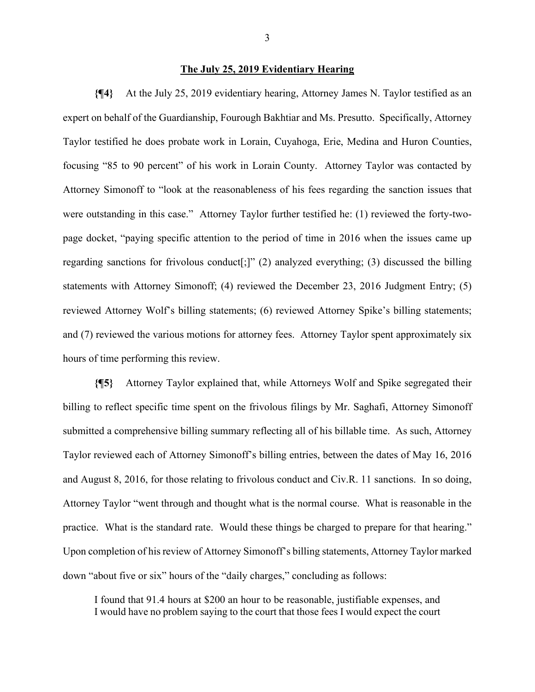#### **The July 25, 2019 Evidentiary Hearing**

**{¶4}** At the July 25, 2019 evidentiary hearing, Attorney James N. Taylor testified as an expert on behalf of the Guardianship, Fourough Bakhtiar and Ms. Presutto. Specifically, Attorney Taylor testified he does probate work in Lorain, Cuyahoga, Erie, Medina and Huron Counties, focusing "85 to 90 percent" of his work in Lorain County. Attorney Taylor was contacted by Attorney Simonoff to "look at the reasonableness of his fees regarding the sanction issues that were outstanding in this case." Attorney Taylor further testified he: (1) reviewed the forty-twopage docket, "paying specific attention to the period of time in 2016 when the issues came up regarding sanctions for frivolous conduct[;]" (2) analyzed everything; (3) discussed the billing statements with Attorney Simonoff; (4) reviewed the December 23, 2016 Judgment Entry; (5) reviewed Attorney Wolf's billing statements; (6) reviewed Attorney Spike's billing statements; and (7) reviewed the various motions for attorney fees. Attorney Taylor spent approximately six hours of time performing this review.

**{¶5}** Attorney Taylor explained that, while Attorneys Wolf and Spike segregated their billing to reflect specific time spent on the frivolous filings by Mr. Saghafi, Attorney Simonoff submitted a comprehensive billing summary reflecting all of his billable time. As such, Attorney Taylor reviewed each of Attorney Simonoff's billing entries, between the dates of May 16, 2016 and August 8, 2016, for those relating to frivolous conduct and Civ.R. 11 sanctions. In so doing, Attorney Taylor "went through and thought what is the normal course. What is reasonable in the practice. What is the standard rate. Would these things be charged to prepare for that hearing." Upon completion of his review of Attorney Simonoff's billing statements, Attorney Taylor marked down "about five or six" hours of the "daily charges," concluding as follows:

I found that 91.4 hours at \$200 an hour to be reasonable, justifiable expenses, and I would have no problem saying to the court that those fees I would expect the court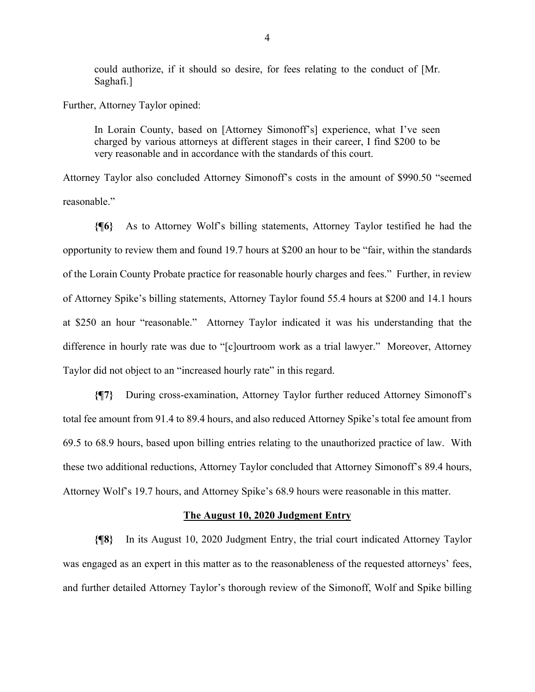could authorize, if it should so desire, for fees relating to the conduct of [Mr. Saghafi.]

Further, Attorney Taylor opined:

In Lorain County, based on [Attorney Simonoff's] experience, what I've seen charged by various attorneys at different stages in their career, I find \$200 to be very reasonable and in accordance with the standards of this court.

Attorney Taylor also concluded Attorney Simonoff's costs in the amount of \$990.50 "seemed reasonable."

**{¶6}** As to Attorney Wolf's billing statements, Attorney Taylor testified he had the opportunity to review them and found 19.7 hours at \$200 an hour to be "fair, within the standards of the Lorain County Probate practice for reasonable hourly charges and fees." Further, in review of Attorney Spike's billing statements, Attorney Taylor found 55.4 hours at \$200 and 14.1 hours at \$250 an hour "reasonable." Attorney Taylor indicated it was his understanding that the difference in hourly rate was due to "[c]ourtroom work as a trial lawyer." Moreover, Attorney Taylor did not object to an "increased hourly rate" in this regard.

**{¶7}** During cross-examination, Attorney Taylor further reduced Attorney Simonoff's total fee amount from 91.4 to 89.4 hours, and also reduced Attorney Spike's total fee amount from 69.5 to 68.9 hours, based upon billing entries relating to the unauthorized practice of law. With these two additional reductions, Attorney Taylor concluded that Attorney Simonoff's 89.4 hours, Attorney Wolf's 19.7 hours, and Attorney Spike's 68.9 hours were reasonable in this matter.

#### **The August 10, 2020 Judgment Entry**

**{¶8}** In its August 10, 2020 Judgment Entry, the trial court indicated Attorney Taylor was engaged as an expert in this matter as to the reasonableness of the requested attorneys' fees, and further detailed Attorney Taylor's thorough review of the Simonoff, Wolf and Spike billing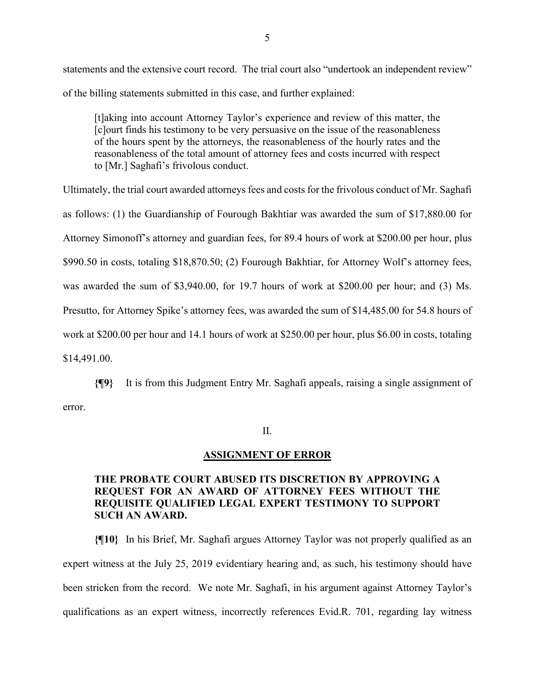statements and the extensive court record. The trial court also "undertook an independent review" of the billing statements submitted in this case, and further explained:

[t]aking into account Attorney Taylor's experience and review of this matter, the [c]ourt finds his testimony to be very persuasive on the issue of the reasonableness of the hours spent by the attorneys, the reasonableness of the hourly rates and the reasonableness of the total amount of attorney fees and costs incurred with respect to [Mr.] Saghafi's frivolous conduct.

Ultimately, the trial court awarded attorneys fees and costs for the frivolous conduct of Mr. Saghafi as follows: (1) the Guardianship of Fourough Bakhtiar was awarded the sum of \$17,880.00 for Attorney Simonoff's attorney and guardian fees, for 89.4 hours of work at \$200.00 per hour, plus \$990.50 in costs, totaling \$18,870.50; (2) Fourough Bakhtiar, for Attorney Wolf's attorney fees, was awarded the sum of \$3,940.00, for 19.7 hours of work at \$200.00 per hour; and (3) Ms. Presutto, for Attorney Spike's attorney fees, was awarded the sum of \$14,485.00 for 54.8 hours of work at \$200.00 per hour and 14.1 hours of work at \$250.00 per hour, plus \$6.00 in costs, totaling \$14,491.00.

**{¶9}** It is from this Judgment Entry Mr. Saghafi appeals, raising a single assignment of error.

II.

#### **ASSIGNMENT OF ERROR**

## **THE PROBATE COURT ABUSED ITS DISCRETION BY APPROVING A REQUEST FOR AN AWARD OF ATTORNEY FEES WITHOUT THE REQUISITE QUALIFIED LEGAL EXPERT TESTIMONY TO SUPPORT SUCH AN AWARD.**

**{¶10}** In his Brief, Mr. Saghafi argues Attorney Taylor was not properly qualified as an expert witness at the July 25, 2019 evidentiary hearing and, as such, his testimony should have been stricken from the record. We note Mr. Saghafi, in his argument against Attorney Taylor's qualifications as an expert witness, incorrectly references Evid.R. 701, regarding lay witness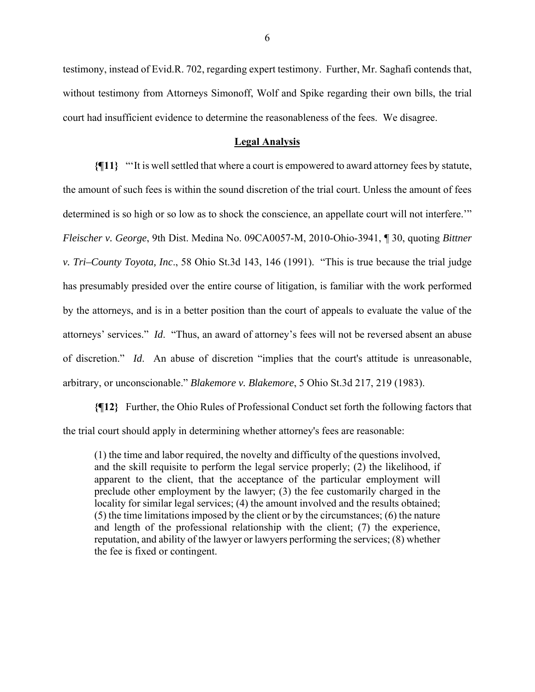testimony, instead of Evid.R. 702, regarding expert testimony. Further, Mr. Saghafi contends that, without testimony from Attorneys Simonoff, Wolf and Spike regarding their own bills, the trial court had insufficient evidence to determine the reasonableness of the fees. We disagree.

#### **Legal Analysis**

**{¶11}** "'It is well settled that where a court is empowered to award attorney fees by statute, the amount of such fees is within the sound discretion of the trial court. Unless the amount of fees determined is so high or so low as to shock the conscience, an appellate court will not interfere." *Fleischer v. George*, 9th Dist. Medina No. 09CA0057-M, 2010-Ohio-3941, ¶ 30, quoting *Bittner v. Tri–County Toyota, Inc*., 58 Ohio St.3d 143, 146 (1991). "This is true because the trial judge has presumably presided over the entire course of litigation, is familiar with the work performed by the attorneys, and is in a better position than the court of appeals to evaluate the value of the attorneys' services." *Id*. "Thus, an award of attorney's fees will not be reversed absent an abuse of discretion." *Id*. An abuse of discretion "implies that the court's attitude is unreasonable, arbitrary, or unconscionable." *Blakemore v. Blakemore*, 5 Ohio St.3d 217, 219 (1983).

**{¶12}** Further, the Ohio Rules of Professional Conduct set forth the following factors that the trial court should apply in determining whether attorney's fees are reasonable:

(1) the time and labor required, the novelty and difficulty of the questions involved, and the skill requisite to perform the legal service properly; (2) the likelihood, if apparent to the client, that the acceptance of the particular employment will preclude other employment by the lawyer; (3) the fee customarily charged in the locality for similar legal services; (4) the amount involved and the results obtained; (5) the time limitations imposed by the client or by the circumstances; (6) the nature and length of the professional relationship with the client; (7) the experience, reputation, and ability of the lawyer or lawyers performing the services; (8) whether the fee is fixed or contingent.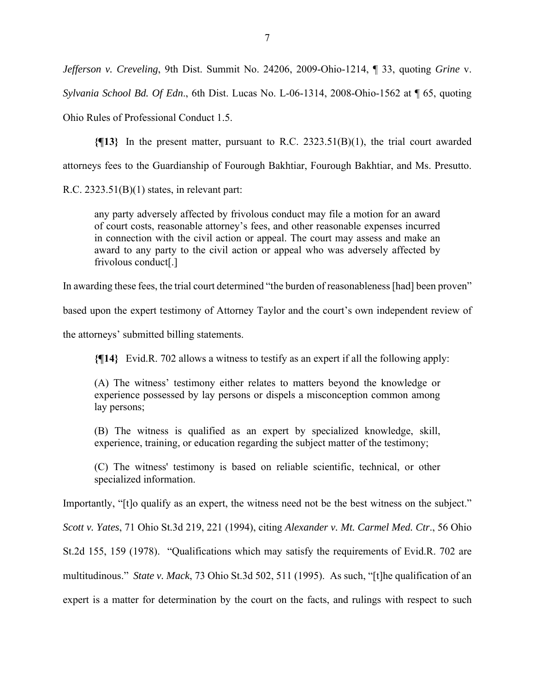*Jefferson v. Creveling*, 9th Dist. Summit No. 24206, 2009-Ohio-1214, ¶ 33, quoting *Grine* v. *Sylvania School Bd. Of Edn*., 6th Dist. Lucas No. L-06-1314, 2008-Ohio-1562 at ¶ 65, quoting Ohio Rules of Professional Conduct 1.5.

**{¶13}** In the present matter, pursuant to R.C. 2323.51(B)(1), the trial court awarded attorneys fees to the Guardianship of Fourough Bakhtiar, Fourough Bakhtiar, and Ms. Presutto.

R.C. 2323.51(B)(1) states, in relevant part:

any party adversely affected by frivolous conduct may file a motion for an award of court costs, reasonable attorney's fees, and other reasonable expenses incurred in connection with the civil action or appeal. The court may assess and make an award to any party to the civil action or appeal who was adversely affected by frivolous conduct[.]

In awarding these fees, the trial court determined "the burden of reasonableness [had] been proven"

based upon the expert testimony of Attorney Taylor and the court's own independent review of

the attorneys' submitted billing statements.

**{¶14}** Evid.R. 702 allows a witness to testify as an expert if all the following apply:

(A) The witness' testimony either relates to matters beyond the knowledge or experience possessed by lay persons or dispels a misconception common among lay persons;

(B) The witness is qualified as an expert by specialized knowledge, skill, experience, training, or education regarding the subject matter of the testimony;

(C) The witness' testimony is based on reliable scientific, technical, or other specialized information.

Importantly, "[t]o qualify as an expert, the witness need not be the best witness on the subject."

*Scott v. Yates*, 71 Ohio St.3d 219, 221 (1994), citing *Alexander v. Mt. Carmel Med. Ctr*., 56 Ohio

St.2d 155, 159 (1978). "Qualifications which may satisfy the requirements of Evid.R. 702 are

multitudinous." *State v. Mack*, 73 Ohio St.3d 502, 511 (1995). As such, "[t]he qualification of an

expert is a matter for determination by the court on the facts, and rulings with respect to such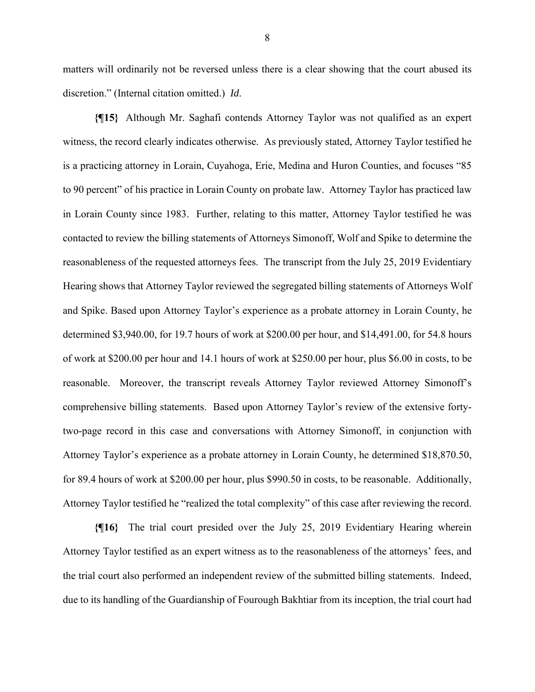matters will ordinarily not be reversed unless there is a clear showing that the court abused its discretion." (Internal citation omitted.) *Id*.

**{¶15}** Although Mr. Saghafi contends Attorney Taylor was not qualified as an expert witness, the record clearly indicates otherwise. As previously stated, Attorney Taylor testified he is a practicing attorney in Lorain, Cuyahoga, Erie, Medina and Huron Counties, and focuses "85 to 90 percent" of his practice in Lorain County on probate law. Attorney Taylor has practiced law in Lorain County since 1983. Further, relating to this matter, Attorney Taylor testified he was contacted to review the billing statements of Attorneys Simonoff, Wolf and Spike to determine the reasonableness of the requested attorneys fees. The transcript from the July 25, 2019 Evidentiary Hearing shows that Attorney Taylor reviewed the segregated billing statements of Attorneys Wolf and Spike. Based upon Attorney Taylor's experience as a probate attorney in Lorain County, he determined \$3,940.00, for 19.7 hours of work at \$200.00 per hour, and \$14,491.00, for 54.8 hours of work at \$200.00 per hour and 14.1 hours of work at \$250.00 per hour, plus \$6.00 in costs, to be reasonable. Moreover, the transcript reveals Attorney Taylor reviewed Attorney Simonoff's comprehensive billing statements. Based upon Attorney Taylor's review of the extensive fortytwo-page record in this case and conversations with Attorney Simonoff, in conjunction with Attorney Taylor's experience as a probate attorney in Lorain County, he determined \$18,870.50, for 89.4 hours of work at \$200.00 per hour, plus \$990.50 in costs, to be reasonable. Additionally, Attorney Taylor testified he "realized the total complexity" of this case after reviewing the record.

**{¶16}** The trial court presided over the July 25, 2019 Evidentiary Hearing wherein Attorney Taylor testified as an expert witness as to the reasonableness of the attorneys' fees, and the trial court also performed an independent review of the submitted billing statements. Indeed, due to its handling of the Guardianship of Fourough Bakhtiar from its inception, the trial court had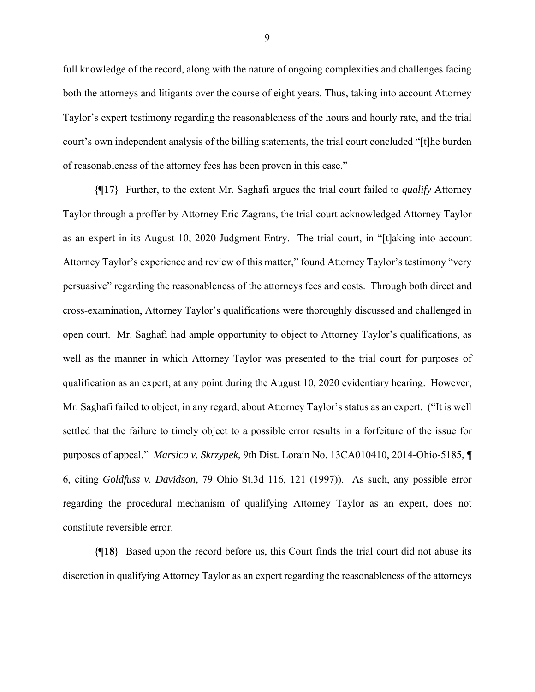full knowledge of the record, along with the nature of ongoing complexities and challenges facing both the attorneys and litigants over the course of eight years. Thus, taking into account Attorney Taylor's expert testimony regarding the reasonableness of the hours and hourly rate, and the trial court's own independent analysis of the billing statements, the trial court concluded "[t]he burden of reasonableness of the attorney fees has been proven in this case."

**{¶17}** Further, to the extent Mr. Saghafi argues the trial court failed to *qualify* Attorney Taylor through a proffer by Attorney Eric Zagrans, the trial court acknowledged Attorney Taylor as an expert in its August 10, 2020 Judgment Entry. The trial court, in "[t]aking into account Attorney Taylor's experience and review of this matter," found Attorney Taylor's testimony "very persuasive" regarding the reasonableness of the attorneys fees and costs. Through both direct and cross-examination, Attorney Taylor's qualifications were thoroughly discussed and challenged in open court. Mr. Saghafi had ample opportunity to object to Attorney Taylor's qualifications, as well as the manner in which Attorney Taylor was presented to the trial court for purposes of qualification as an expert, at any point during the August 10, 2020 evidentiary hearing. However, Mr. Saghafi failed to object, in any regard, about Attorney Taylor's status as an expert. ("It is well settled that the failure to timely object to a possible error results in a forfeiture of the issue for purposes of appeal." *Marsico v. Skrzypek*, 9th Dist. Lorain No. 13CA010410, 2014-Ohio-5185, ¶ 6, citing *Goldfuss v. Davidson*, 79 Ohio St.3d 116, 121 (1997)). As such, any possible error regarding the procedural mechanism of qualifying Attorney Taylor as an expert, does not constitute reversible error.

**{¶18}** Based upon the record before us, this Court finds the trial court did not abuse its discretion in qualifying Attorney Taylor as an expert regarding the reasonableness of the attorneys

9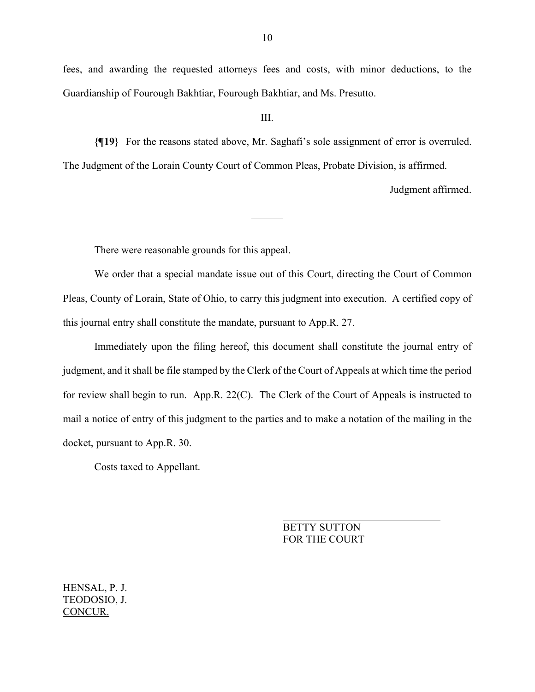fees, and awarding the requested attorneys fees and costs, with minor deductions, to the Guardianship of Fourough Bakhtiar, Fourough Bakhtiar, and Ms. Presutto.

III.

**{¶19}** For the reasons stated above, Mr. Saghafi's sole assignment of error is overruled. The Judgment of the Lorain County Court of Common Pleas, Probate Division, is affirmed.

 $\overline{a}$ 

Judgment affirmed.

There were reasonable grounds for this appeal.

 We order that a special mandate issue out of this Court, directing the Court of Common Pleas, County of Lorain, State of Ohio, to carry this judgment into execution. A certified copy of this journal entry shall constitute the mandate, pursuant to App.R. 27.

 Immediately upon the filing hereof, this document shall constitute the journal entry of judgment, and it shall be file stamped by the Clerk of the Court of Appeals at which time the period for review shall begin to run. App.R. 22(C). The Clerk of the Court of Appeals is instructed to mail a notice of entry of this judgment to the parties and to make a notation of the mailing in the docket, pursuant to App.R. 30.

Costs taxed to Appellant.

 BETTY SUTTON FOR THE COURT

HENSAL, P. J. TEODOSIO, J. CONCUR.